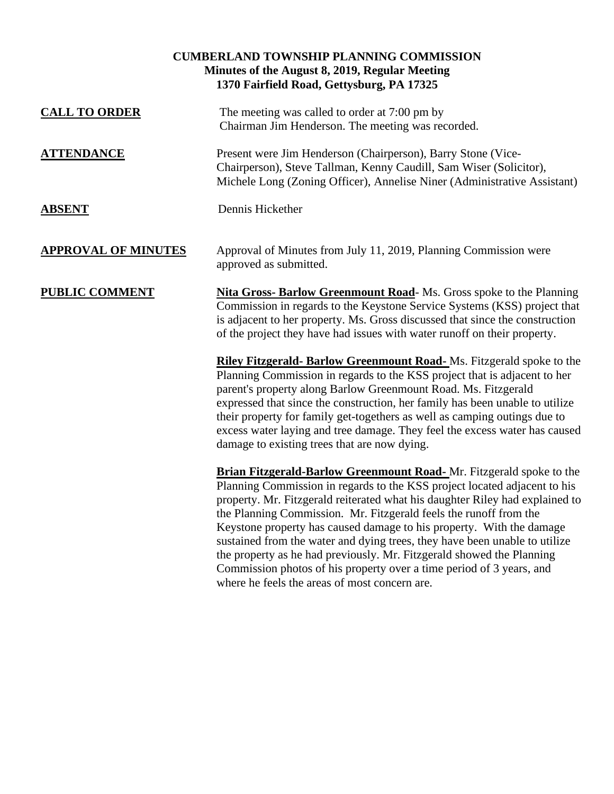| <b>CUMBERLAND TOWNSHIP PLANNING COMMISSION</b><br>Minutes of the August 8, 2019, Regular Meeting<br>1370 Fairfield Road, Gettysburg, PA 17325 |                                                                                                                                                                                                                                                                                                                                                                                                                                                                                                                                                                                                                      |  |
|-----------------------------------------------------------------------------------------------------------------------------------------------|----------------------------------------------------------------------------------------------------------------------------------------------------------------------------------------------------------------------------------------------------------------------------------------------------------------------------------------------------------------------------------------------------------------------------------------------------------------------------------------------------------------------------------------------------------------------------------------------------------------------|--|
| <b>CALL TO ORDER</b>                                                                                                                          | The meeting was called to order at 7:00 pm by<br>Chairman Jim Henderson. The meeting was recorded.                                                                                                                                                                                                                                                                                                                                                                                                                                                                                                                   |  |
| <b>ATTENDANCE</b>                                                                                                                             | Present were Jim Henderson (Chairperson), Barry Stone (Vice-<br>Chairperson), Steve Tallman, Kenny Caudill, Sam Wiser (Solicitor),<br>Michele Long (Zoning Officer), Annelise Niner (Administrative Assistant)                                                                                                                                                                                                                                                                                                                                                                                                       |  |
| <b>ABSENT</b>                                                                                                                                 | Dennis Hickether                                                                                                                                                                                                                                                                                                                                                                                                                                                                                                                                                                                                     |  |
| <b>APPROVAL OF MINUTES</b>                                                                                                                    | Approval of Minutes from July 11, 2019, Planning Commission were<br>approved as submitted.                                                                                                                                                                                                                                                                                                                                                                                                                                                                                                                           |  |
| <b>PUBLIC COMMENT</b>                                                                                                                         | <b>Nita Gross- Barlow Greenmount Road-</b> Ms. Gross spoke to the Planning<br>Commission in regards to the Keystone Service Systems (KSS) project that<br>is adjacent to her property. Ms. Gross discussed that since the construction<br>of the project they have had issues with water runoff on their property.                                                                                                                                                                                                                                                                                                   |  |
|                                                                                                                                               | Riley Fitzgerald- Barlow Greenmount Road-Ms. Fitzgerald spoke to the<br>Planning Commission in regards to the KSS project that is adjacent to her<br>parent's property along Barlow Greenmount Road. Ms. Fitzgerald<br>expressed that since the construction, her family has been unable to utilize<br>their property for family get-togethers as well as camping outings due to<br>excess water laying and tree damage. They feel the excess water has caused<br>damage to existing trees that are now dying.                                                                                                       |  |
|                                                                                                                                               | <b>Brian Fitzgerald-Barlow Greenmount Road-</b> Mr. Fitzgerald spoke to the<br>Planning Commission in regards to the KSS project located adjacent to his<br>property. Mr. Fitzgerald reiterated what his daughter Riley had explained to<br>the Planning Commission. Mr. Fitzgerald feels the runoff from the<br>Keystone property has caused damage to his property. With the damage<br>sustained from the water and dying trees, they have been unable to utilize<br>the property as he had previously. Mr. Fitzgerald showed the Planning<br>Commission photos of his property over a time period of 3 years, and |  |

where he feels the areas of most concern are.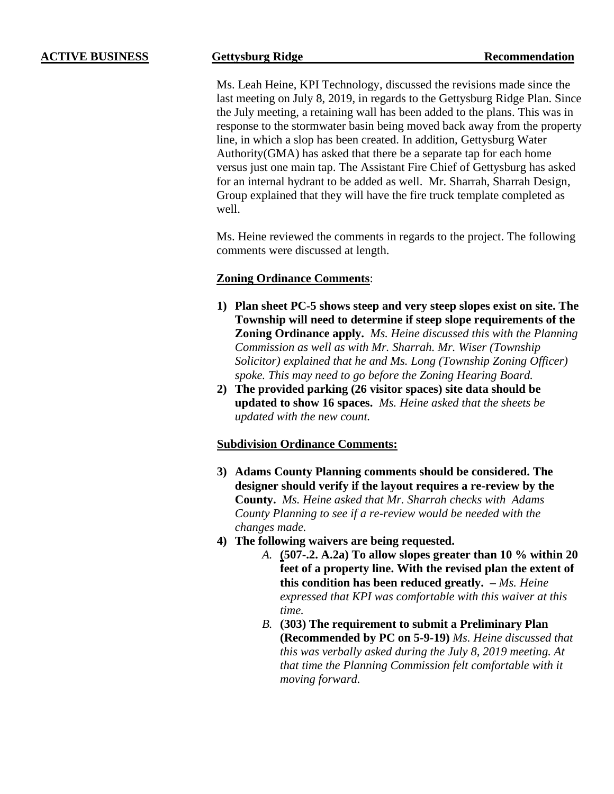Ms. Leah Heine, KPI Technology, discussed the revisions made since the last meeting on July 8, 2019, in regards to the Gettysburg Ridge Plan. Since the July meeting, a retaining wall has been added to the plans. This was in response to the stormwater basin being moved back away from the property line, in which a slop has been created. In addition, Gettysburg Water Authority(GMA) has asked that there be a separate tap for each home versus just one main tap. The Assistant Fire Chief of Gettysburg has asked for an internal hydrant to be added as well. Mr. Sharrah, Sharrah Design, Group explained that they will have the fire truck template completed as well.

Ms. Heine reviewed the comments in regards to the project. The following comments were discussed at length.

# **Zoning Ordinance Comments**:

- **1) Plan sheet PC-5 shows steep and very steep slopes exist on site. The Township will need to determine if steep slope requirements of the Zoning Ordinance apply.** *Ms. Heine discussed this with the Planning Commission as well as with Mr. Sharrah. Mr. Wiser (Township Solicitor) explained that he and Ms. Long (Township Zoning Officer) spoke. This may need to go before the Zoning Hearing Board.*
- **2) The provided parking (26 visitor spaces) site data should be updated to show 16 spaces.** *Ms. Heine asked that the sheets be updated with the new count.*

# **Subdivision Ordinance Comments:**

- **3) Adams County Planning comments should be considered. The designer should verify if the layout requires a re-review by the County.** *Ms. Heine asked that Mr. Sharrah checks with Adams County Planning to see if a re-review would be needed with the changes made.*
- **4) The following waivers are being requested.**
	- *A.* **(507-.2. A.2a) To allow slopes greater than 10 % within 20 feet of a property line. With the revised plan the extent of this condition has been reduced greatly. –** *Ms. Heine expressed that KPI was comfortable with this waiver at this time.*
	- *B.* **(303) The requirement to submit a Preliminary Plan (Recommended by PC on 5-9-19)** *Ms. Heine discussed that this was verbally asked during the July 8, 2019 meeting. At that time the Planning Commission felt comfortable with it moving forward.*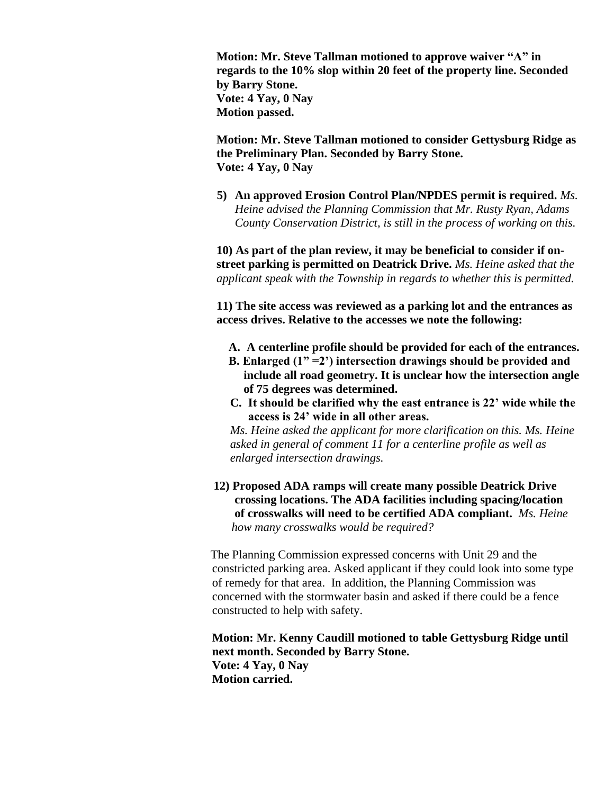**Motion: Mr. Steve Tallman motioned to approve waiver "A" in regards to the 10% slop within 20 feet of the property line. Seconded by Barry Stone. Vote: 4 Yay, 0 Nay Motion passed.**

**Motion: Mr. Steve Tallman motioned to consider Gettysburg Ridge as the Preliminary Plan. Seconded by Barry Stone. Vote: 4 Yay, 0 Nay**

**5) An approved Erosion Control Plan/NPDES permit is required.** *Ms. Heine advised the Planning Commission that Mr. Rusty Ryan, Adams County Conservation District, is still in the process of working on this.* 

**10) As part of the plan review, it may be beneficial to consider if onstreet parking is permitted on Deatrick Drive.** *Ms. Heine asked that the applicant speak with the Township in regards to whether this is permitted.* 

**11) The site access was reviewed as a parking lot and the entrances as access drives. Relative to the accesses we note the following:** 

- **A. A centerline profile should be provided for each of the entrances.**
- **B. Enlarged (1" =2') intersection drawings should be provided and include all road geometry. It is unclear how the intersection angle of 75 degrees was determined.**
- **C. It should be clarified why the east entrance is 22' wide while the access is 24' wide in all other areas.**

*Ms. Heine asked the applicant for more clarification on this. Ms. Heine asked in general of comment 11 for a centerline profile as well as enlarged intersection drawings.* 

 **12) Proposed ADA ramps will create many possible Deatrick Drive crossing locations. The ADA facilities including spacing/location of crosswalks will need to be certified ADA compliant.** *Ms. Heine how many crosswalks would be required?* 

The Planning Commission expressed concerns with Unit 29 and the constricted parking area. Asked applicant if they could look into some type of remedy for that area. In addition, the Planning Commission was concerned with the stormwater basin and asked if there could be a fence constructed to help with safety.

**Motion: Mr. Kenny Caudill motioned to table Gettysburg Ridge until next month. Seconded by Barry Stone. Vote: 4 Yay, 0 Nay Motion carried.**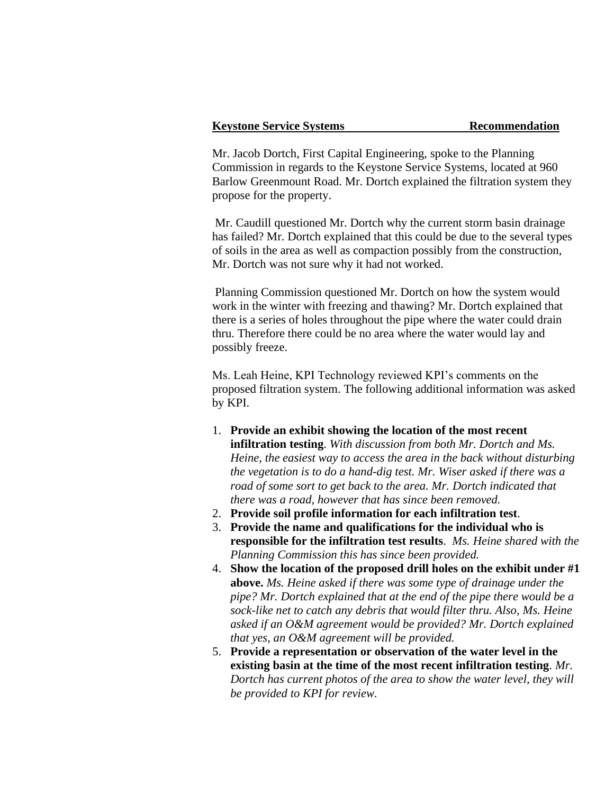## **Keystone Service Systems Recommendation**

Mr. Jacob Dortch, First Capital Engineering, spoke to the Planning Commission in regards to the Keystone Service Systems, located at 960 Barlow Greenmount Road. Mr. Dortch explained the filtration system they propose for the property.

Mr. Caudill questioned Mr. Dortch why the current storm basin drainage has failed? Mr. Dortch explained that this could be due to the several types of soils in the area as well as compaction possibly from the construction, Mr. Dortch was not sure why it had not worked.

Planning Commission questioned Mr. Dortch on how the system would work in the winter with freezing and thawing? Mr. Dortch explained that there is a series of holes throughout the pipe where the water could drain thru. Therefore there could be no area where the water would lay and possibly freeze.

Ms. Leah Heine, KPI Technology reviewed KPI's comments on the proposed filtration system. The following additional information was asked by KPI.

- 1. **Provide an exhibit showing the location of the most recent infiltration testing**. *With discussion from both Mr. Dortch and Ms. Heine, the easiest way to access the area in the back without disturbing the vegetation is to do a hand-dig test. Mr. Wiser asked if there was a road of some sort to get back to the area. Mr. Dortch indicated that there was a road, however that has since been removed.*
- 2. **Provide soil profile information for each infiltration test**.
- 3. **Provide the name and qualifications for the individual who is responsible for the infiltration test results**. *Ms. Heine shared with the Planning Commission this has since been provided.*
- 4. **Show the location of the proposed drill holes on the exhibit under #1 above.** *Ms. Heine asked if there was some type of drainage under the pipe? Mr. Dortch explained that at the end of the pipe there would be a sock-like net to catch any debris that would filter thru. Also, Ms. Heine asked if an O&M agreement would be provided? Mr. Dortch explained that yes, an O&M agreement will be provided.*
- 5. **Provide a representation or observation of the water level in the existing basin at the time of the most recent infiltration testing**. *Mr. Dortch has current photos of the area to show the water level, they will be provided to KPI for review.*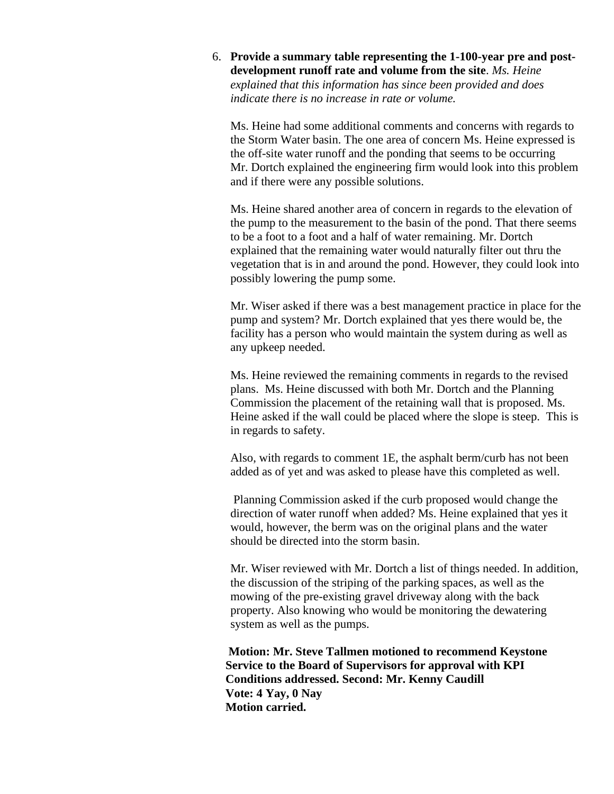6. **Provide a summary table representing the 1-100-year pre and postdevelopment runoff rate and volume from the site**. *Ms. Heine explained that this information has since been provided and does indicate there is no increase in rate or volume.* 

Ms. Heine had some additional comments and concerns with regards to the Storm Water basin. The one area of concern Ms. Heine expressed is the off-site water runoff and the ponding that seems to be occurring Mr. Dortch explained the engineering firm would look into this problem and if there were any possible solutions.

Ms. Heine shared another area of concern in regards to the elevation of the pump to the measurement to the basin of the pond. That there seems to be a foot to a foot and a half of water remaining. Mr. Dortch explained that the remaining water would naturally filter out thru the vegetation that is in and around the pond. However, they could look into possibly lowering the pump some.

Mr. Wiser asked if there was a best management practice in place for the pump and system? Mr. Dortch explained that yes there would be, the facility has a person who would maintain the system during as well as any upkeep needed.

Ms. Heine reviewed the remaining comments in regards to the revised plans. Ms. Heine discussed with both Mr. Dortch and the Planning Commission the placement of the retaining wall that is proposed. Ms. Heine asked if the wall could be placed where the slope is steep. This is in regards to safety.

Also, with regards to comment 1E, the asphalt berm/curb has not been added as of yet and was asked to please have this completed as well.

Planning Commission asked if the curb proposed would change the direction of water runoff when added? Ms. Heine explained that yes it would, however, the berm was on the original plans and the water should be directed into the storm basin.

Mr. Wiser reviewed with Mr. Dortch a list of things needed. In addition, the discussion of the striping of the parking spaces, as well as the mowing of the pre-existing gravel driveway along with the back property. Also knowing who would be monitoring the dewatering system as well as the pumps.

**Motion: Mr. Steve Tallmen motioned to recommend Keystone Service to the Board of Supervisors for approval with KPI Conditions addressed. Second: Mr. Kenny Caudill Vote: 4 Yay, 0 Nay Motion carried.**